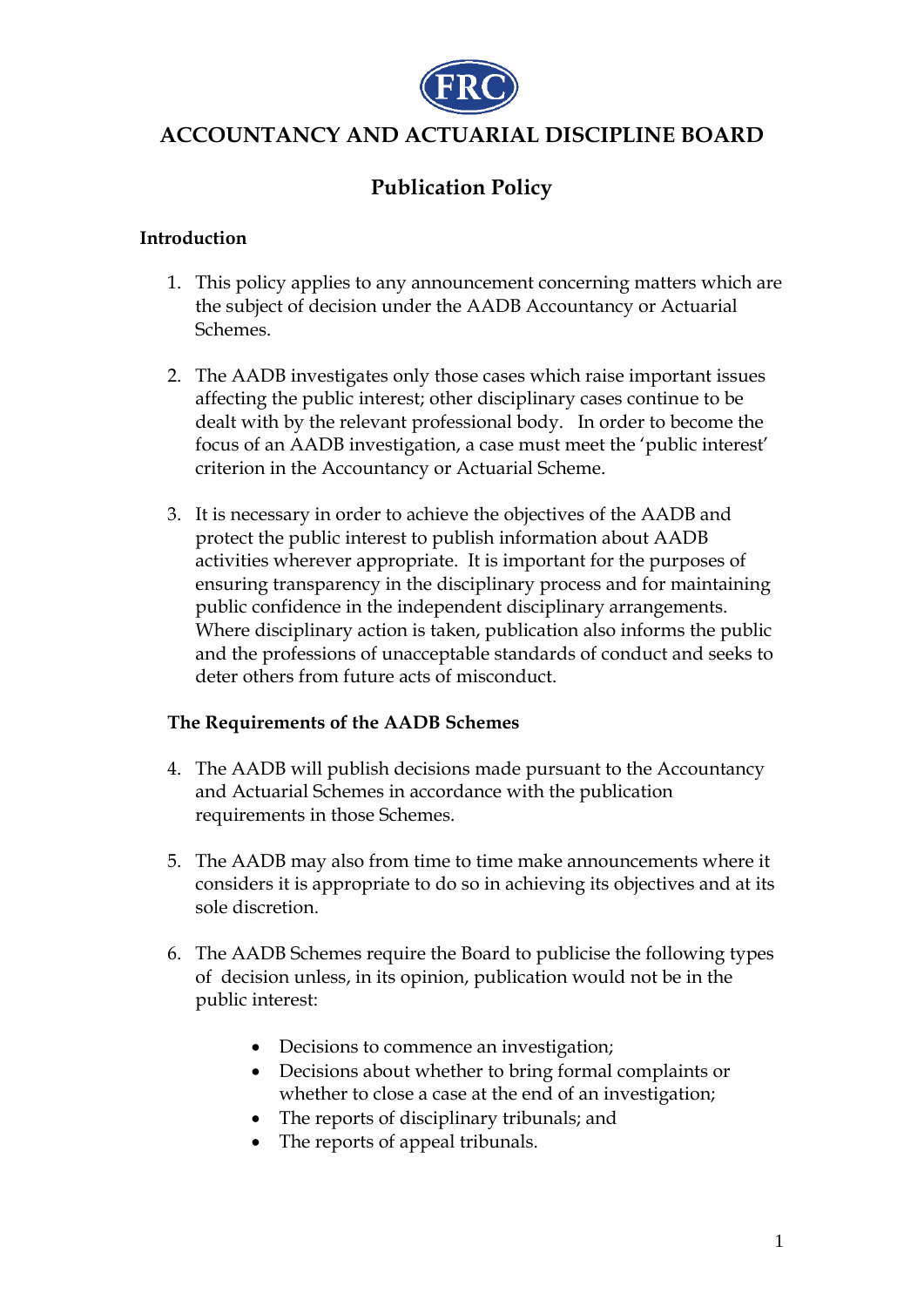

# **ACCOUNTANCY AND ACTUARIAL DISCIPLINE BOARD**

# **Publication Policy**

#### **Introduction**

- 1. This policy applies to any announcement concerning matters which are the subject of decision under the AADB Accountancy or Actuarial Schemes.
- 2. The AADB investigates only those cases which raise important issues affecting the public interest; other disciplinary cases continue to be dealt with by the relevant professional body. In order to become the focus of an AADB investigation, a case must meet the 'public interest' criterion in the Accountancy or Actuarial Scheme.
- 3. It is necessary in order to achieve the objectives of the AADB and protect the public interest to publish information about AADB activities wherever appropriate. It is important for the purposes of ensuring transparency in the disciplinary process and for maintaining public confidence in the independent disciplinary arrangements. Where disciplinary action is taken, publication also informs the public and the professions of unacceptable standards of conduct and seeks to deter others from future acts of misconduct.

#### **The Requirements of the AADB Schemes**

- 4. The AADB will publish decisions made pursuant to the Accountancy and Actuarial Schemes in accordance with the publication requirements in those Schemes.
- 5. The AADB may also from time to time make announcements where it considers it is appropriate to do so in achieving its objectives and at its sole discretion.
- 6. The AADB Schemes require the Board to publicise the following types of decision unless, in its opinion, publication would not be in the public interest:
	- Decisions to commence an investigation;
	- Decisions about whether to bring formal complaints or whether to close a case at the end of an investigation;
	- The reports of disciplinary tribunals; and
	- The reports of appeal tribunals.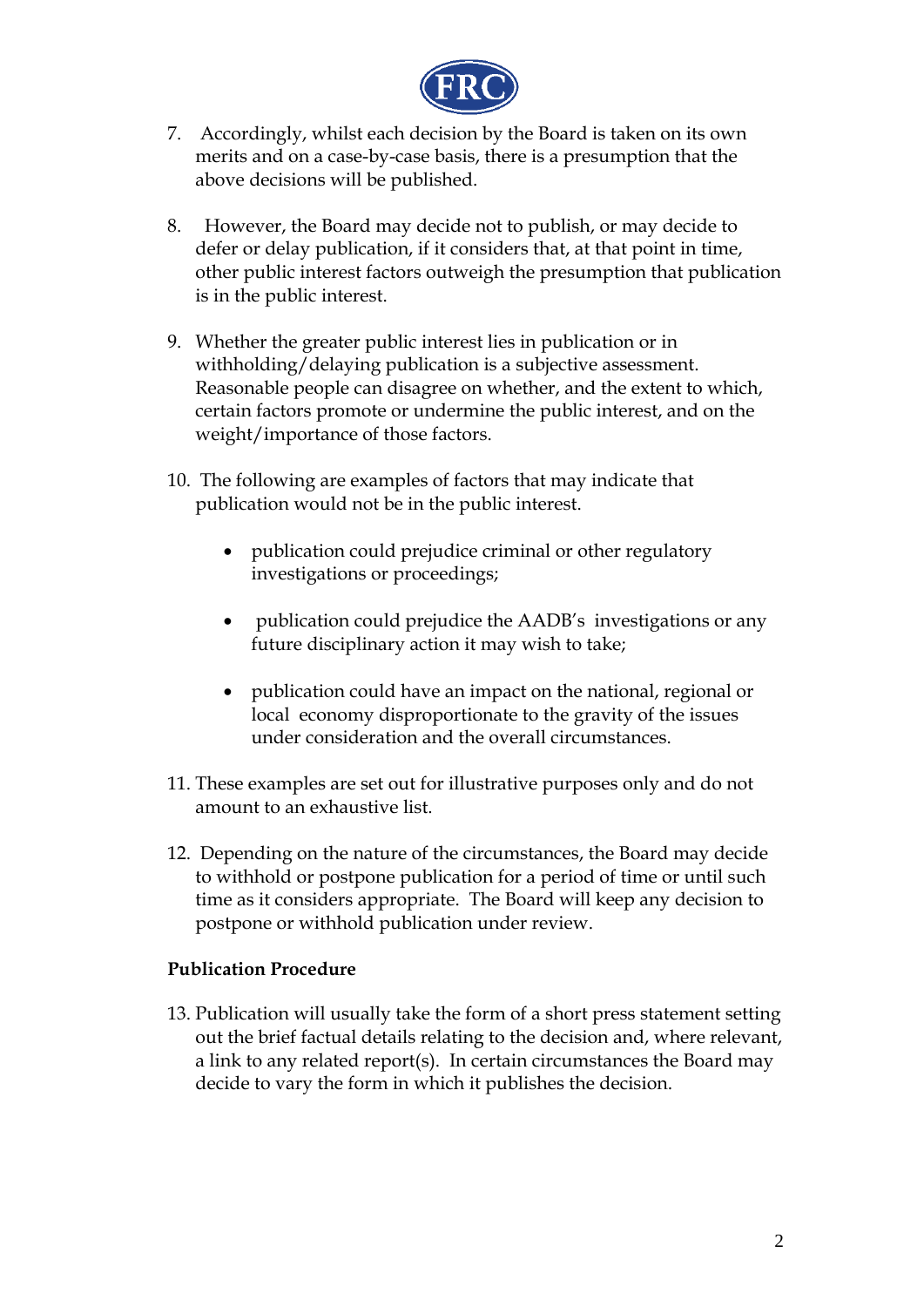

- 7. Accordingly, whilst each decision by the Board is taken on its own merits and on a case-by-case basis, there is a presumption that the above decisions will be published.
- 8. However, the Board may decide not to publish, or may decide to defer or delay publication, if it considers that, at that point in time, other public interest factors outweigh the presumption that publication is in the public interest.
- 9. Whether the greater public interest lies in publication or in withholding/delaying publication is a subjective assessment. Reasonable people can disagree on whether, and the extent to which, certain factors promote or undermine the public interest, and on the weight/importance of those factors.
- 10. The following are examples of factors that may indicate that publication would not be in the public interest.
	- publication could prejudice criminal or other regulatory investigations or proceedings;
	- publication could prejudice the AADB's investigations or any future disciplinary action it may wish to take;
	- publication could have an impact on the national, regional or local economy disproportionate to the gravity of the issues under consideration and the overall circumstances.
- 11. These examples are set out for illustrative purposes only and do not amount to an exhaustive list.
- 12. Depending on the nature of the circumstances, the Board may decide to withhold or postpone publication for a period of time or until such time as it considers appropriate. The Board will keep any decision to postpone or withhold publication under review.

## **Publication Procedure**

13. Publication will usually take the form of a short press statement setting out the brief factual details relating to the decision and, where relevant, a link to any related report(s). In certain circumstances the Board may decide to vary the form in which it publishes the decision.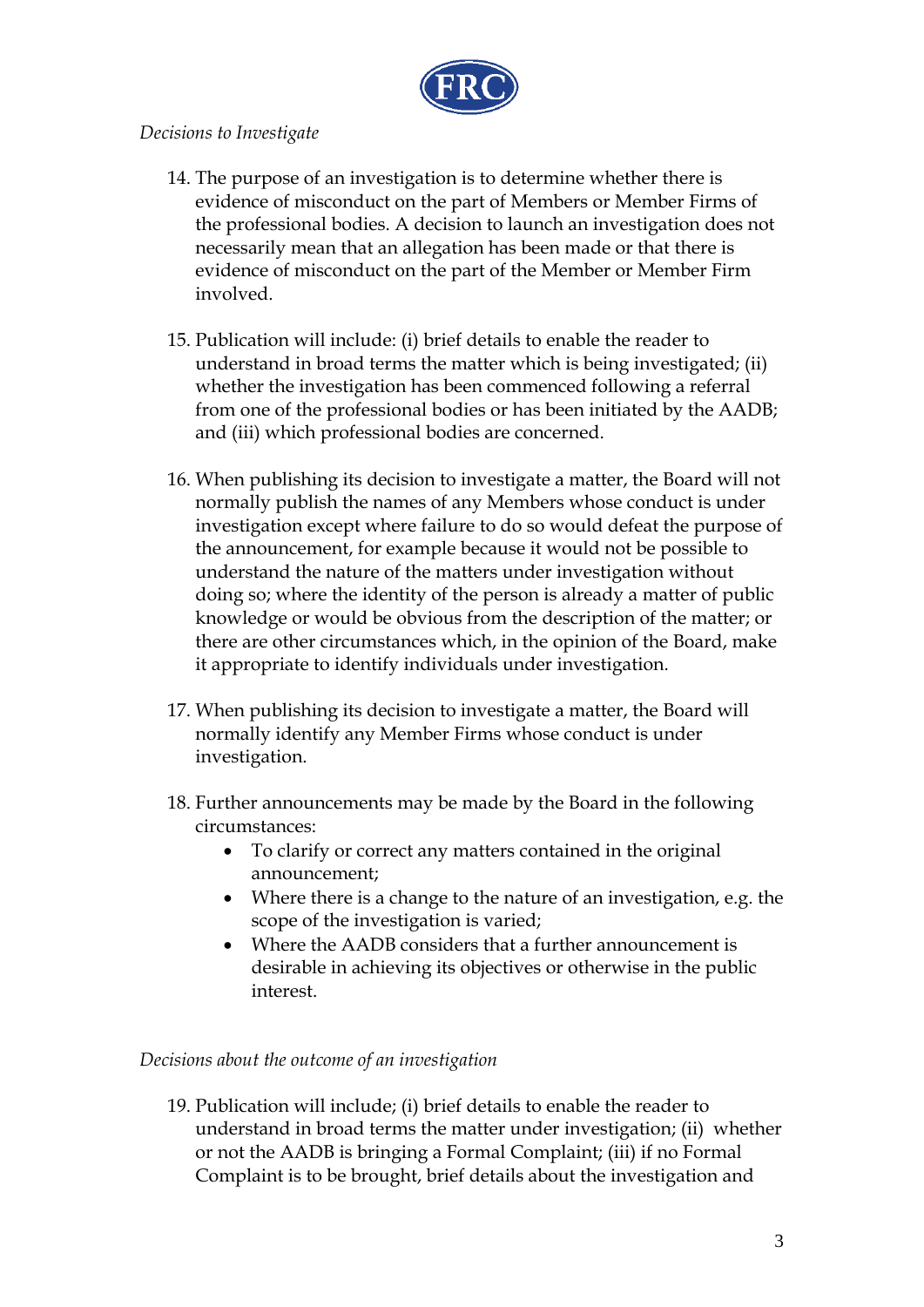

### *Decisions to Investigate*

- 14. The purpose of an investigation is to determine whether there is evidence of misconduct on the part of Members or Member Firms of the professional bodies. A decision to launch an investigation does not necessarily mean that an allegation has been made or that there is evidence of misconduct on the part of the Member or Member Firm involved.
- 15. Publication will include: (i) brief details to enable the reader to understand in broad terms the matter which is being investigated; (ii) whether the investigation has been commenced following a referral from one of the professional bodies or has been initiated by the AADB; and (iii) which professional bodies are concerned.
- 16. When publishing its decision to investigate a matter, the Board will not normally publish the names of any Members whose conduct is under investigation except where failure to do so would defeat the purpose of the announcement, for example because it would not be possible to understand the nature of the matters under investigation without doing so; where the identity of the person is already a matter of public knowledge or would be obvious from the description of the matter; or there are other circumstances which, in the opinion of the Board, make it appropriate to identify individuals under investigation.
- 17. When publishing its decision to investigate a matter, the Board will normally identify any Member Firms whose conduct is under investigation.
- 18. Further announcements may be made by the Board in the following circumstances:
	- To clarify or correct any matters contained in the original announcement;
	- Where there is a change to the nature of an investigation, e.g. the scope of the investigation is varied;
	- Where the AADB considers that a further announcement is desirable in achieving its objectives or otherwise in the public interest.

## *Decisions about the outcome of an investigation*

19. Publication will include; (i) brief details to enable the reader to understand in broad terms the matter under investigation; (ii) whether or not the AADB is bringing a Formal Complaint; (iii) if no Formal Complaint is to be brought, brief details about the investigation and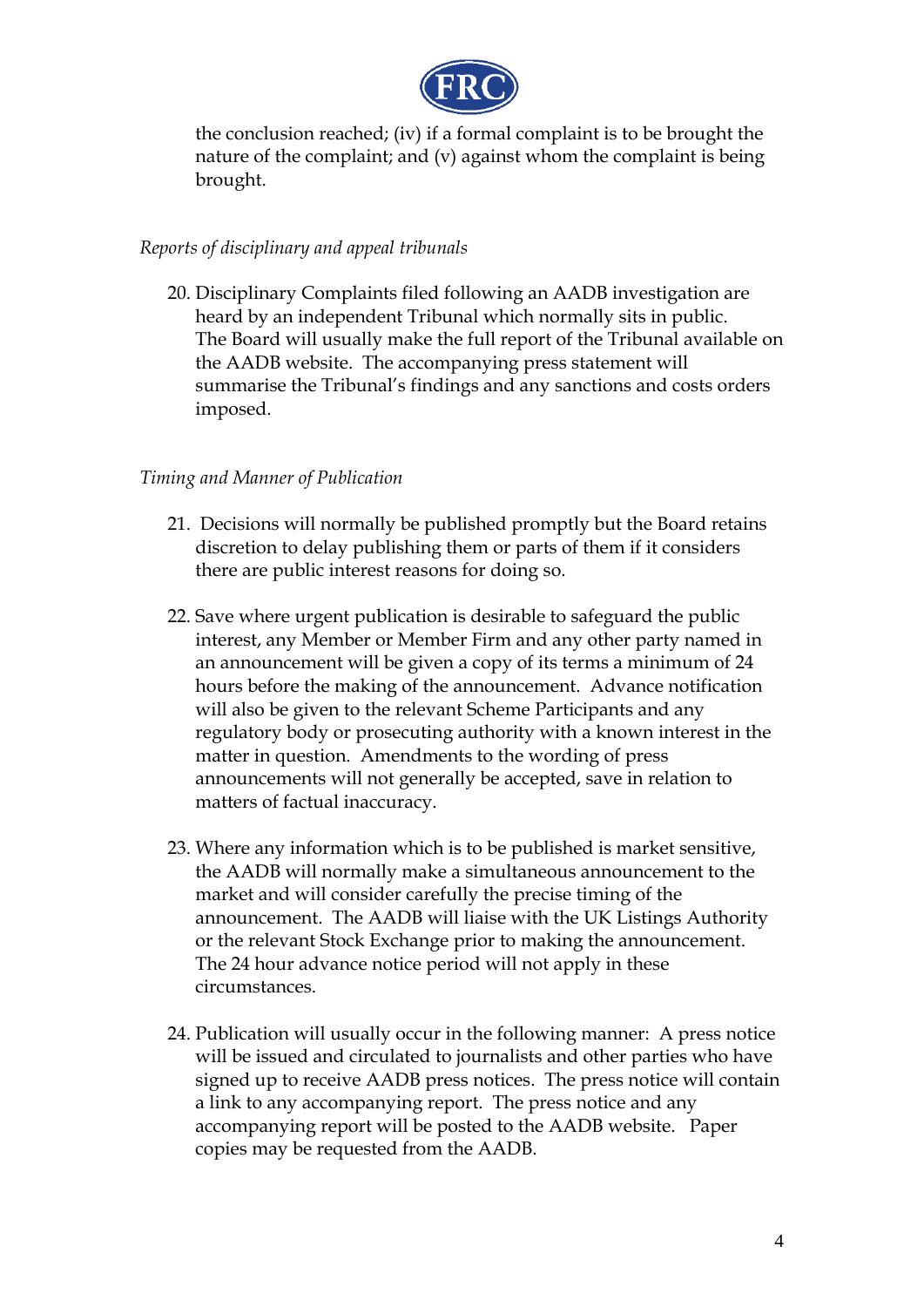

the conclusion reached; (iv) if a formal complaint is to be brought the nature of the complaint; and (v) against whom the complaint is being brought.

#### *Reports of disciplinary and appeal tribunals*

20. Disciplinary Complaints filed following an AADB investigation are heard by an independent Tribunal which normally sits in public. The Board will usually make the full report of the Tribunal available on the AADB website. The accompanying press statement will summarise the Tribunal's findings and any sanctions and costs orders imposed.

#### *Timing and Manner of Publication*

- 21. Decisions will normally be published promptly but the Board retains discretion to delay publishing them or parts of them if it considers there are public interest reasons for doing so.
- 22. Save where urgent publication is desirable to safeguard the public interest, any Member or Member Firm and any other party named in an announcement will be given a copy of its terms a minimum of 24 hours before the making of the announcement. Advance notification will also be given to the relevant Scheme Participants and any regulatory body or prosecuting authority with a known interest in the matter in question. Amendments to the wording of press announcements will not generally be accepted, save in relation to matters of factual inaccuracy.
- 23. Where any information which is to be published is market sensitive, the AADB will normally make a simultaneous announcement to the market and will consider carefully the precise timing of the announcement. The AADB will liaise with the UK Listings Authority or the relevant Stock Exchange prior to making the announcement. The 24 hour advance notice period will not apply in these circumstances.
- 24. Publication will usually occur in the following manner: A press notice will be issued and circulated to journalists and other parties who have signed up to receive AADB press notices. The press notice will contain a link to any accompanying report. The press notice and any accompanying report will be posted to the AADB website. Paper copies may be requested from the AADB.